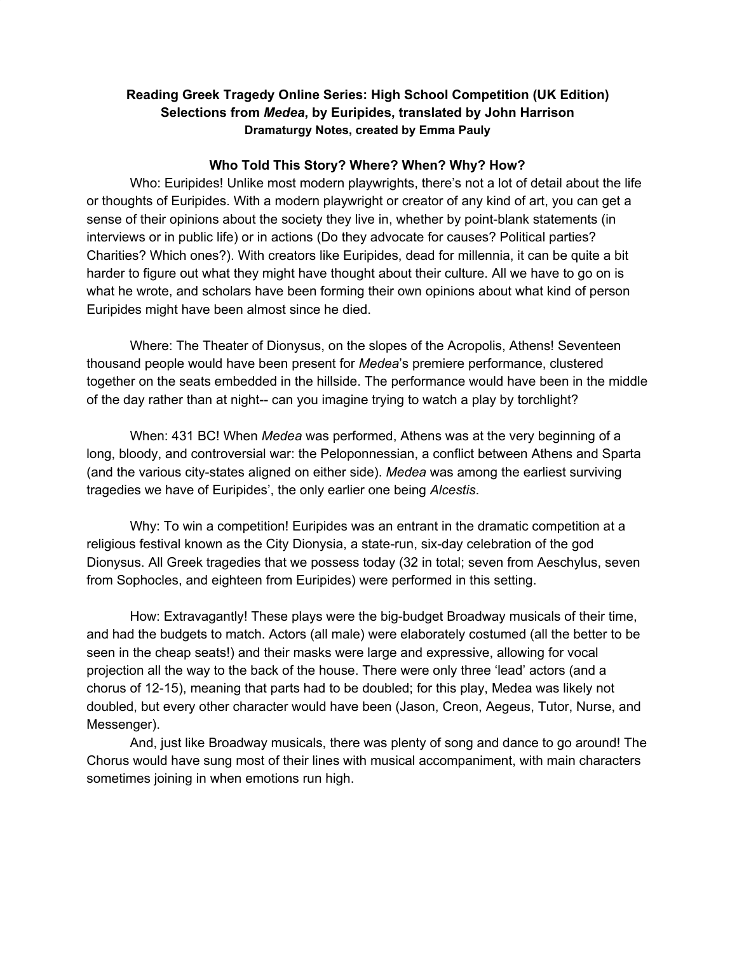## **Reading Greek Tragedy Online Series: High School Competition (UK Edition) Selections from** *Medea***, by Euripides, translated by John Harrison Dramaturgy Notes, created by Emma Pauly**

### **Who Told This Story? Where? When? Why? How?**

Who: Euripides! Unlike most modern playwrights, there's not a lot of detail about the life or thoughts of Euripides. With a modern playwright or creator of any kind of art, you can get a sense of their opinions about the society they live in, whether by point-blank statements (in interviews or in public life) or in actions (Do they advocate for causes? Political parties? Charities? Which ones?). With creators like Euripides, dead for millennia, it can be quite a bit harder to figure out what they might have thought about their culture. All we have to go on is what he wrote, and scholars have been forming their own opinions about what kind of person Euripides might have been almost since he died.

Where: The Theater of Dionysus, on the slopes of the Acropolis, Athens! Seventeen thousand people would have been present for *Medea*'s premiere performance, clustered together on the seats embedded in the hillside. The performance would have been in the middle of the day rather than at night-- can you imagine trying to watch a play by torchlight?

When: 431 BC! When *Medea* was performed, Athens was at the very beginning of a long, bloody, and controversial war: the Peloponnessian, a conflict between Athens and Sparta (and the various city-states aligned on either side). *Medea* was among the earliest surviving tragedies we have of Euripides', the only earlier one being *Alcestis*.

Why: To win a competition! Euripides was an entrant in the dramatic competition at a religious festival known as the City Dionysia, a state-run, six-day celebration of the god Dionysus. All Greek tragedies that we possess today (32 in total; seven from Aeschylus, seven from Sophocles, and eighteen from Euripides) were performed in this setting.

How: Extravagantly! These plays were the big-budget Broadway musicals of their time, and had the budgets to match. Actors (all male) were elaborately costumed (all the better to be seen in the cheap seats!) and their masks were large and expressive, allowing for vocal projection all the way to the back of the house. There were only three 'lead' actors (and a chorus of 12-15), meaning that parts had to be doubled; for this play, Medea was likely not doubled, but every other character would have been (Jason, Creon, Aegeus, Tutor, Nurse, and Messenger).

And, just like Broadway musicals, there was plenty of song and dance to go around! The Chorus would have sung most of their lines with musical accompaniment, with main characters sometimes joining in when emotions run high.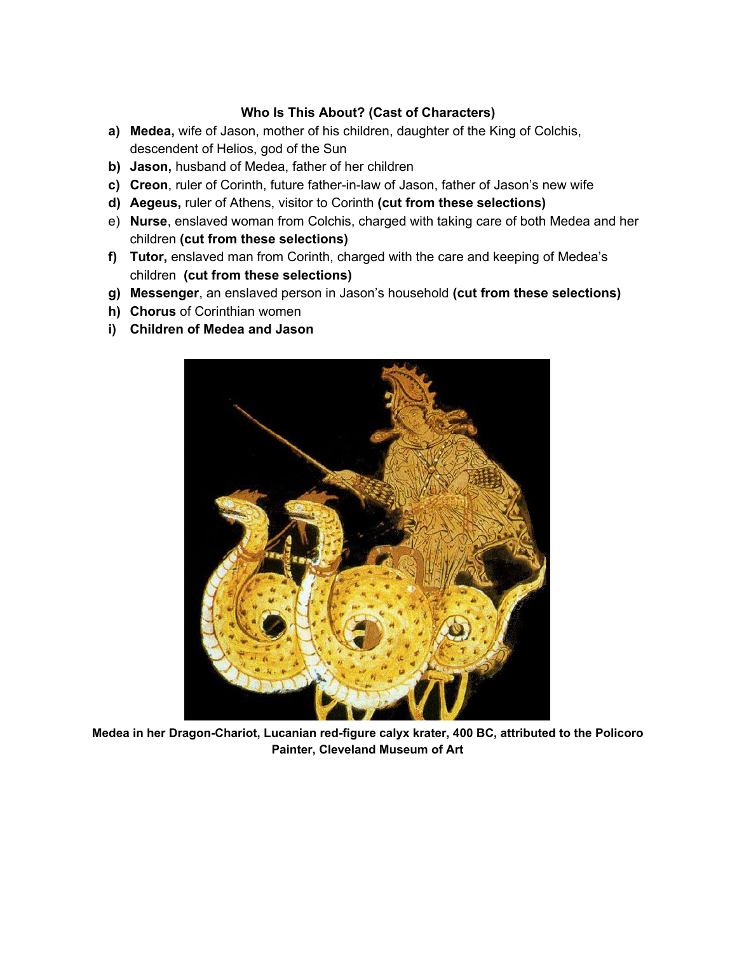### **Who Is This About? (Cast of Characters)**

- **a) Medea,** wife of Jason, mother of his children, daughter of the King of Colchis, descendent of Helios, god of the Sun
- **b) Jason,** husband of Medea, father of her children
- **c) Creon**, ruler of Corinth, future father-in-law of Jason, father of Jason's new wife
- **d) Aegeus,** ruler of Athens, visitor to Corinth **(cut from these selections)**
- e) **Nurse**, enslaved woman from Colchis, charged with taking care of both Medea and her children **(cut from these selections)**
- **f) Tutor,** enslaved man from Corinth, charged with the care and keeping of Medea's children **(cut from these selections)**
- **g) Messenger**, an enslaved person in Jason's household **(cut from these selections)**
- **h) Chorus** of Corinthian women
- **i) Children of Medea and Jason**



**Medea in her Dragon-Chariot, Lucanian red-figure calyx krater, 400 BC, attributed to the Policoro Painter, Cleveland Museum of Art**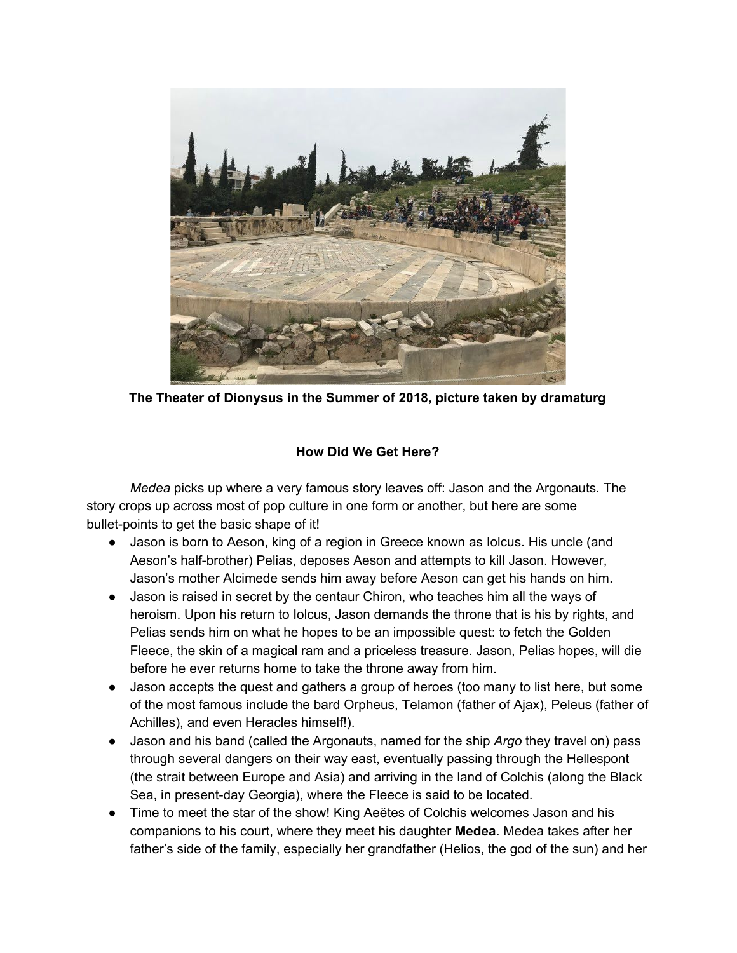

**The Theater of Dionysus in the Summer of 2018, picture taken by dramaturg**

# **How Did We Get Here?**

*Medea* picks up where a very famous story leaves off: Jason and the Argonauts. The story crops up across most of pop culture in one form or another, but here are some bullet-points to get the basic shape of it!

- Jason is born to Aeson, king of a region in Greece known as Iolcus. His uncle (and Aeson's half-brother) Pelias, deposes Aeson and attempts to kill Jason. However, Jason's mother Alcimede sends him away before Aeson can get his hands on him.
- Jason is raised in secret by the centaur Chiron, who teaches him all the ways of heroism. Upon his return to Iolcus, Jason demands the throne that is his by rights, and Pelias sends him on what he hopes to be an impossible quest: to fetch the Golden Fleece, the skin of a magical ram and a priceless treasure. Jason, Pelias hopes, will die before he ever returns home to take the throne away from him.
- Jason accepts the quest and gathers a group of heroes (too many to list here, but some of the most famous include the bard Orpheus, Telamon (father of Ajax), Peleus (father of Achilles), and even Heracles himself!).
- Jason and his band (called the Argonauts, named for the ship *Argo* they travel on) pass through several dangers on their way east, eventually passing through the Hellespont (the strait between Europe and Asia) and arriving in the land of Colchis (along the Black Sea, in present-day Georgia), where the Fleece is said to be located.
- Time to meet the star of the show! King Aeëtes of Colchis welcomes Jason and his companions to his court, where they meet his daughter **Medea**. Medea takes after her father's side of the family, especially her grandfather (Helios, the god of the sun) and her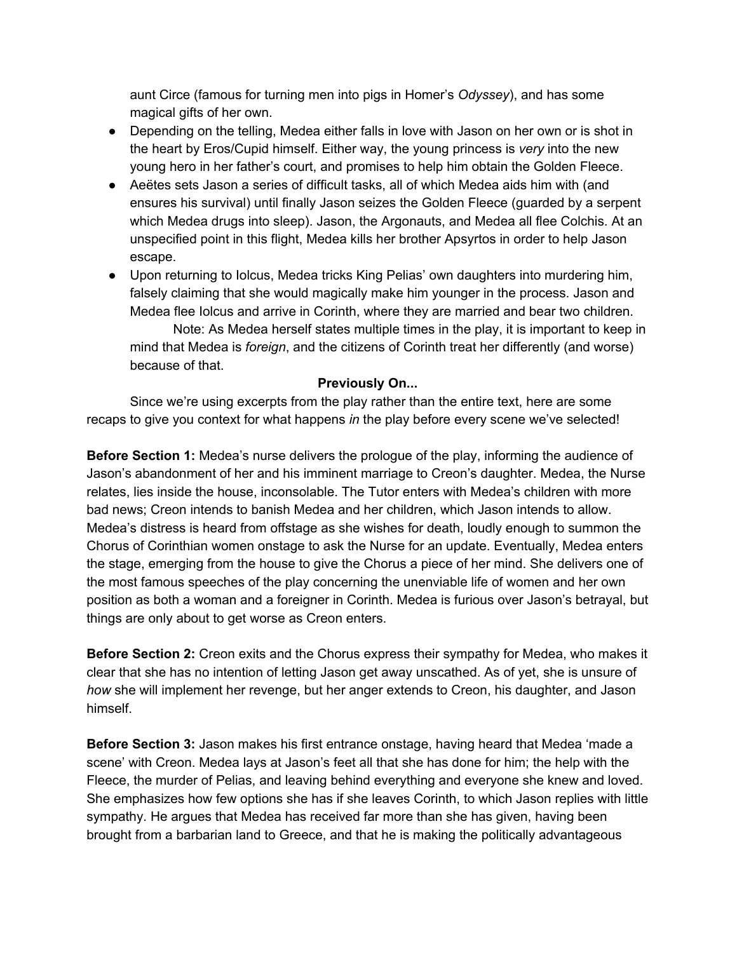aunt Circe (famous for turning men into pigs in Homer's *Odyssey*), and has some magical gifts of her own.

- Depending on the telling, Medea either falls in love with Jason on her own or is shot in the heart by Eros/Cupid himself. Either way, the young princess is *very* into the new young hero in her father's court, and promises to help him obtain the Golden Fleece.
- Aeëtes sets Jason a series of difficult tasks, all of which Medea aids him with (and ensures his survival) until finally Jason seizes the Golden Fleece (guarded by a serpent which Medea drugs into sleep). Jason, the Argonauts, and Medea all flee Colchis. At an unspecified point in this flight, Medea kills her brother Apsyrtos in order to help Jason escape.
- Upon returning to Iolcus, Medea tricks King Pelias' own daughters into murdering him, falsely claiming that she would magically make him younger in the process. Jason and Medea flee Iolcus and arrive in Corinth, where they are married and bear two children.

Note: As Medea herself states multiple times in the play, it is important to keep in mind that Medea is *foreign*, and the citizens of Corinth treat her differently (and worse) because of that.

### **Previously On...**

Since we're using excerpts from the play rather than the entire text, here are some recaps to give you context for what happens *in* the play before every scene we've selected!

**Before Section 1:** Medea's nurse delivers the prologue of the play, informing the audience of Jason's abandonment of her and his imminent marriage to Creon's daughter. Medea, the Nurse relates, lies inside the house, inconsolable. The Tutor enters with Medea's children with more bad news; Creon intends to banish Medea and her children, which Jason intends to allow. Medea's distress is heard from offstage as she wishes for death, loudly enough to summon the Chorus of Corinthian women onstage to ask the Nurse for an update. Eventually, Medea enters the stage, emerging from the house to give the Chorus a piece of her mind. She delivers one of the most famous speeches of the play concerning the unenviable life of women and her own position as both a woman and a foreigner in Corinth. Medea is furious over Jason's betrayal, but things are only about to get worse as Creon enters.

**Before Section 2:** Creon exits and the Chorus express their sympathy for Medea, who makes it clear that she has no intention of letting Jason get away unscathed. As of yet, she is unsure of *how* she will implement her revenge, but her anger extends to Creon, his daughter, and Jason himself.

**Before Section 3:** Jason makes his first entrance onstage, having heard that Medea 'made a scene' with Creon. Medea lays at Jason's feet all that she has done for him; the help with the Fleece, the murder of Pelias, and leaving behind everything and everyone she knew and loved. She emphasizes how few options she has if she leaves Corinth, to which Jason replies with little sympathy. He argues that Medea has received far more than she has given, having been brought from a barbarian land to Greece, and that he is making the politically advantageous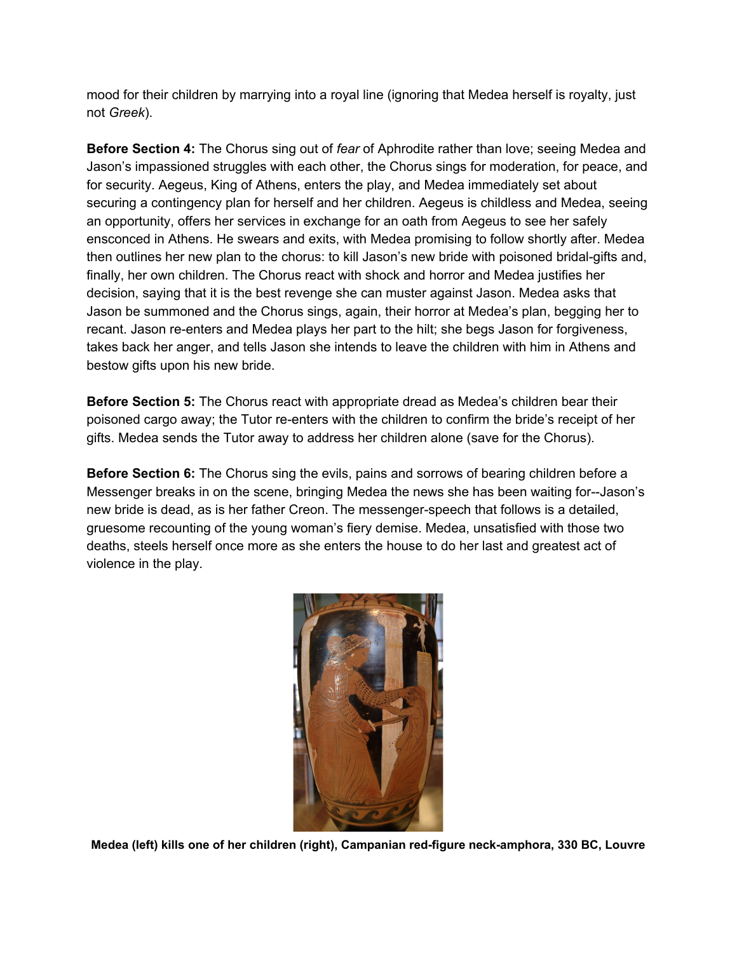mood for their children by marrying into a royal line (ignoring that Medea herself is royalty, just not *Greek*).

**Before Section 4:** The Chorus sing out of *fear* of Aphrodite rather than love; seeing Medea and Jason's impassioned struggles with each other, the Chorus sings for moderation, for peace, and for security. Aegeus, King of Athens, enters the play, and Medea immediately set about securing a contingency plan for herself and her children. Aegeus is childless and Medea, seeing an opportunity, offers her services in exchange for an oath from Aegeus to see her safely ensconced in Athens. He swears and exits, with Medea promising to follow shortly after. Medea then outlines her new plan to the chorus: to kill Jason's new bride with poisoned bridal-gifts and, finally, her own children. The Chorus react with shock and horror and Medea justifies her decision, saying that it is the best revenge she can muster against Jason. Medea asks that Jason be summoned and the Chorus sings, again, their horror at Medea's plan, begging her to recant. Jason re-enters and Medea plays her part to the hilt; she begs Jason for forgiveness, takes back her anger, and tells Jason she intends to leave the children with him in Athens and bestow gifts upon his new bride.

**Before Section 5:** The Chorus react with appropriate dread as Medea's children bear their poisoned cargo away; the Tutor re-enters with the children to confirm the bride's receipt of her gifts. Medea sends the Tutor away to address her children alone (save for the Chorus).

**Before Section 6:** The Chorus sing the evils, pains and sorrows of bearing children before a Messenger breaks in on the scene, bringing Medea the news she has been waiting for--Jason's new bride is dead, as is her father Creon. The messenger-speech that follows is a detailed, gruesome recounting of the young woman's fiery demise. Medea, unsatisfied with those two deaths, steels herself once more as she enters the house to do her last and greatest act of violence in the play.



**Medea (left) kills one of her children (right), Campanian red-figure neck-amphora, 330 BC, Louvre**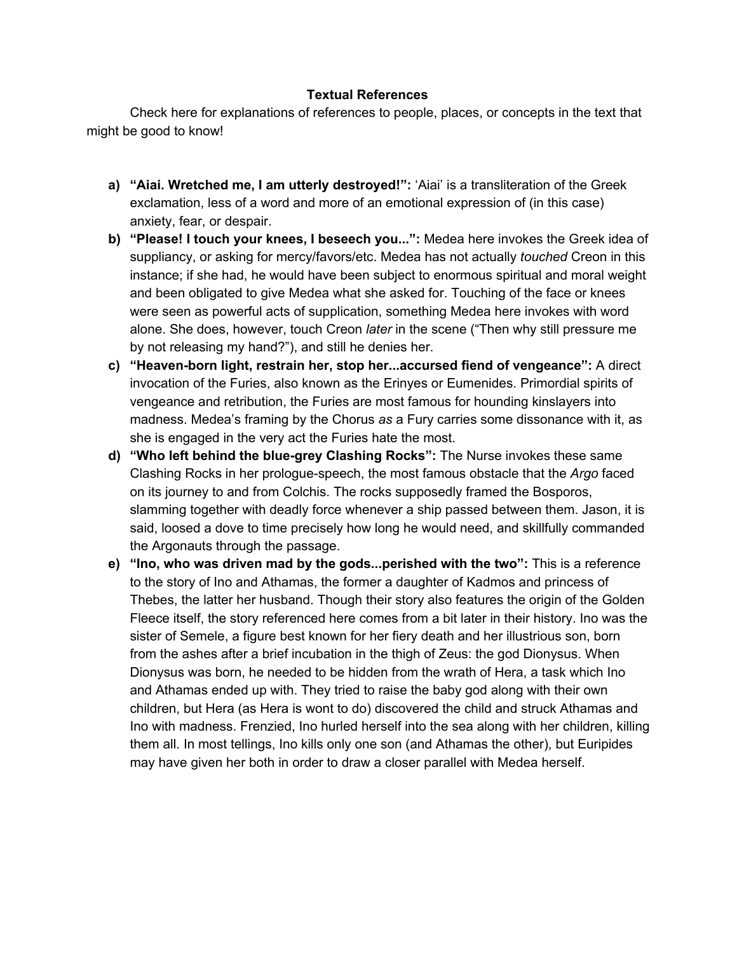### **Textual References**

Check here for explanations of references to people, places, or concepts in the text that might be good to know!

- **a) "Aiai. Wretched me, I am utterly destroyed!":** 'Aiai' is a transliteration of the Greek exclamation, less of a word and more of an emotional expression of (in this case) anxiety, fear, or despair.
- **b) "Please! I touch your knees, I beseech you...":** Medea here invokes the Greek idea of suppliancy, or asking for mercy/favors/etc. Medea has not actually *touched* Creon in this instance; if she had, he would have been subject to enormous spiritual and moral weight and been obligated to give Medea what she asked for. Touching of the face or knees were seen as powerful acts of supplication, something Medea here invokes with word alone. She does, however, touch Creon *later* in the scene ("Then why still pressure me by not releasing my hand?"), and still he denies her.
- **c) "Heaven-born light, restrain her, stop her...accursed fiend of vengeance":** A direct invocation of the Furies, also known as the Erinyes or Eumenides. Primordial spirits of vengeance and retribution, the Furies are most famous for hounding kinslayers into madness. Medea's framing by the Chorus *as* a Fury carries some dissonance with it, as she is engaged in the very act the Furies hate the most.
- **d) "Who left behind the blue-grey Clashing Rocks":** The Nurse invokes these same Clashing Rocks in her prologue-speech, the most famous obstacle that the *Argo* faced on its journey to and from Colchis. The rocks supposedly framed the Bosporos, slamming together with deadly force whenever a ship passed between them. Jason, it is said, loosed a dove to time precisely how long he would need, and skillfully commanded the Argonauts through the passage.
- **e) "Ino, who was driven mad by the gods...perished with the two":** This is a reference to the story of Ino and Athamas, the former a daughter of Kadmos and princess of Thebes, the latter her husband. Though their story also features the origin of the Golden Fleece itself, the story referenced here comes from a bit later in their history. Ino was the sister of Semele, a figure best known for her fiery death and her illustrious son, born from the ashes after a brief incubation in the thigh of Zeus: the god Dionysus. When Dionysus was born, he needed to be hidden from the wrath of Hera, a task which Ino and Athamas ended up with. They tried to raise the baby god along with their own children, but Hera (as Hera is wont to do) discovered the child and struck Athamas and Ino with madness. Frenzied, Ino hurled herself into the sea along with her children, killing them all. In most tellings, Ino kills only one son (and Athamas the other), but Euripides may have given her both in order to draw a closer parallel with Medea herself.